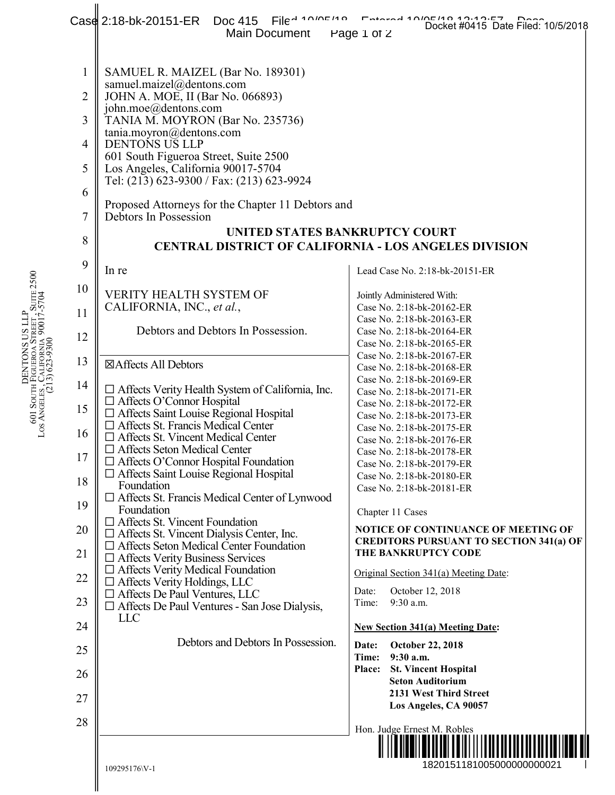|                                                                                                                  |                                                                                                                                                                                                      | Case 2:18-bk-20151-ER Doc 415 File 410/05/10<br>Main Document                                                                                                                                                                                                                                                                                                                                                                                                                                                                                                                                                                                                                                                                                                                                                                                                                                                                                                                                                                                                                                                                                                                                                                                                                                                                                                                                                                                                                                                                                                            | Fotosod 10/05/10 10:00:07<br>Docket #0415 Date Filed: 10/5/2018<br>Page 1 of 2                                                                                                                                                                                                                                                                                                                                                                                                                                                                                                                                                                                                                                                                                                                                                                                                                                                                                                                                                                                              |
|------------------------------------------------------------------------------------------------------------------|------------------------------------------------------------------------------------------------------------------------------------------------------------------------------------------------------|--------------------------------------------------------------------------------------------------------------------------------------------------------------------------------------------------------------------------------------------------------------------------------------------------------------------------------------------------------------------------------------------------------------------------------------------------------------------------------------------------------------------------------------------------------------------------------------------------------------------------------------------------------------------------------------------------------------------------------------------------------------------------------------------------------------------------------------------------------------------------------------------------------------------------------------------------------------------------------------------------------------------------------------------------------------------------------------------------------------------------------------------------------------------------------------------------------------------------------------------------------------------------------------------------------------------------------------------------------------------------------------------------------------------------------------------------------------------------------------------------------------------------------------------------------------------------|-----------------------------------------------------------------------------------------------------------------------------------------------------------------------------------------------------------------------------------------------------------------------------------------------------------------------------------------------------------------------------------------------------------------------------------------------------------------------------------------------------------------------------------------------------------------------------------------------------------------------------------------------------------------------------------------------------------------------------------------------------------------------------------------------------------------------------------------------------------------------------------------------------------------------------------------------------------------------------------------------------------------------------------------------------------------------------|
| DENTONS US LLP<br>601 South Figueroa Street , Suite 2500<br>Los Angeles, California 90017-5704<br>(213) 623-9300 | $\mathbf{1}$<br>$\overline{2}$<br>3<br>$\overline{4}$<br>5<br>6<br>7<br>8<br>9<br>10<br>11<br>12<br>13<br>14<br>15<br>16<br>17<br>18<br>19<br>20<br>21<br>$22\,$<br>23<br>24<br>25<br>26<br>27<br>28 | SAMUEL R. MAIZEL (Bar No. 189301)<br>samuel.maizel@dentons.com<br>JOHN A. MOE, II (Bar No. 066893)<br>john.moe@dentons.com<br>TANIA M. MOYRON (Bar No. 235736)<br>tania.moyron@dentons.com<br><b>DENTONS US LLP</b><br>601 South Figueroa Street, Suite 2500<br>Los Angeles, California 90017-5704<br>Tel: (213) 623-9300 / Fax: (213) 623-9924<br>Proposed Attorneys for the Chapter 11 Debtors and<br>Debtors In Possession<br>UNITED STATES BANKRUPTCY COURT<br><b>CENTRAL DISTRICT OF CALIFORNIA - LOS ANGELES DIVISION</b><br>In re<br><b>VERITY HEALTH SYSTEM OF</b><br>CALIFORNIA, INC., et al.,<br>Debtors and Debtors In Possession.<br>⊠Affects All Debtors<br>$\Box$ Affects Verity Health System of California, Inc.<br>$\Box$ Affects O'Connor Hospital<br>□ Affects Saint Louise Regional Hospital<br>$\Box$ Affects St. Francis Medical Center<br>□ Affects St. Vincent Medical Center<br>$\Box$ Affects Seton Medical Center<br>$\Box$ Affects O'Connor Hospital Foundation<br>$\Box$ Affects Saint Louise Regional Hospital<br>Foundation<br>□ Affects St. Francis Medical Center of Lynwood<br>Foundation<br>$\Box$ Affects St. Vincent Foundation<br>$\Box$ Affects St. Vincent Dialysis Center, Inc.<br>$\Box$ Affects Seton Medical Center Foundation<br>$\Box$ Affects Verity Business Services<br>$\Box$ Affects Verity Medical Foundation<br>$\Box$ Affects Verity Holdings, LLC<br>□ Affects De Paul Ventures, LLC<br>$\Box$ Affects De Paul Ventures - San Jose Dialysis,<br><b>LLC</b><br>Debtors and Debtors In Possession.<br>109295176\V-1 | Lead Case No. 2:18-bk-20151-ER<br>Jointly Administered With:<br>Case No. 2:18-bk-20162-ER<br>Case No. 2:18-bk-20163-ER<br>Case No. 2:18-bk-20164-ER<br>Case No. 2:18-bk-20165-ER<br>Case No. 2:18-bk-20167-ER<br>Case No. 2:18-bk-20168-ER<br>Case No. 2:18-bk-20169-ER<br>Case No. 2:18-bk-20171-ER<br>Case No. 2:18-bk-20172-ER<br>Case No. 2:18-bk-20173-ER<br>Case No. 2:18-bk-20175-ER<br>Case No. 2:18-bk-20176-ER<br>Case No. 2:18-bk-20178-ER<br>Case No. 2:18-bk-20179-ER<br>Case No. 2:18-bk-20180-ER<br>Case No. 2:18-bk-20181-ER<br>Chapter 11 Cases<br>NOTICE OF CONTINUANCE OF MEETING OF<br><b>CREDITORS PURSUANT TO SECTION 341(a) OF</b><br>THE BANKRUPTCY CODE<br>Original Section 341(a) Meeting Date:<br>Date:<br>October 12, 2018<br>9:30 a.m.<br>Time:<br><b>New Section 341(a) Meeting Date:</b><br><b>October 22, 2018</b><br>Date:<br>Time:<br>9:30 a.m.<br><b>St. Vincent Hospital</b><br><b>Place:</b><br><b>Seton Auditorium</b><br>2131 West Third Street<br>Los Angeles, CA 90057<br>Hon. Judge Ernest M. Robles<br>1820151181005000000000021 |
|                                                                                                                  |                                                                                                                                                                                                      |                                                                                                                                                                                                                                                                                                                                                                                                                                                                                                                                                                                                                                                                                                                                                                                                                                                                                                                                                                                                                                                                                                                                                                                                                                                                                                                                                                                                                                                                                                                                                                          |                                                                                                                                                                                                                                                                                                                                                                                                                                                                                                                                                                                                                                                                                                                                                                                                                                                                                                                                                                                                                                                                             |